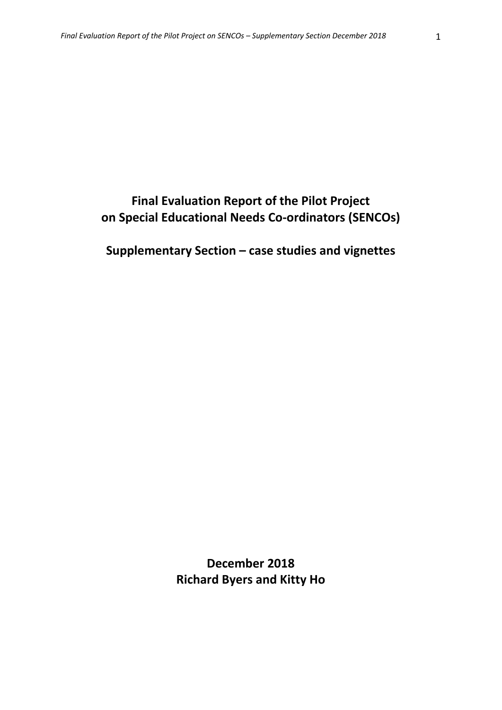# **Final Evaluation Report of the Pilot Project on Special Educational Needs Co‐ordinators (SENCOs)**

**Supplementary Section – case studies and vignettes**

**December 2018 Richard Byers and Kitty Ho**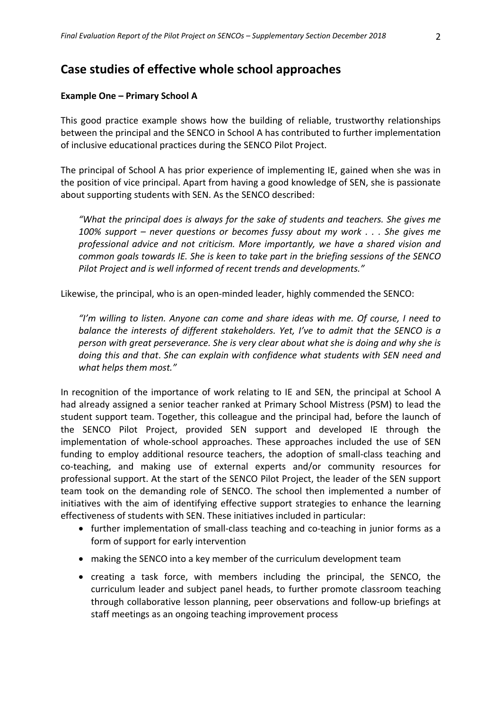# **Case studies of effective whole school approaches**

#### **Example One – Primary School A**

This good practice example shows how the building of reliable, trustworthy relationships between the principal and the SENCO in School A has contributed to further implementation of inclusive educational practices during the SENCO Pilot Project.

The principal of School A has prior experience of implementing IE, gained when she was in the position of vice principal. Apart from having a good knowledge of SEN, she is passionate about supporting students with SEN. As the SENCO described:

*"What the principal does is always for the sake of students and teachers. She gives me 100% support – never questions or becomes fussy about my work . . . She gives me professional advice and not criticism. More importantly, we have a shared vision and common goals towards IE. She is keen to take part in the briefing sessions of the SENCO Pilot Project and is well informed of recent trends and developments."*

Likewise, the principal, who is an open‐minded leader, highly commended the SENCO:

*"I'm willing to listen. Anyone can come and share ideas with me. Of course, I need to balance the interests of different stakeholders. Yet, I've to admit that the SENCO is a person with great perseverance. She is very clear about what she is doing and why she is doing this and that*. *She can explain with confidence what students with SEN need and what helps them most."*

In recognition of the importance of work relating to IE and SEN, the principal at School A had already assigned a senior teacher ranked at Primary School Mistress (PSM) to lead the student support team. Together, this colleague and the principal had, before the launch of the SENCO Pilot Project, provided SEN support and developed IE through the implementation of whole-school approaches. These approaches included the use of SEN funding to employ additional resource teachers, the adoption of small‐class teaching and co‐teaching, and making use of external experts and/or community resources for professional support. At the start of the SENCO Pilot Project, the leader of the SEN support team took on the demanding role of SENCO. The school then implemented a number of initiatives with the aim of identifying effective support strategies to enhance the learning effectiveness of students with SEN. These initiatives included in particular:

- further implementation of small-class teaching and co-teaching in junior forms as a form of support for early intervention
- making the SENCO into a key member of the curriculum development team
- creating a task force, with members including the principal, the SENCO, the curriculum leader and subject panel heads, to further promote classroom teaching through collaborative lesson planning, peer observations and follow‐up briefings at staff meetings as an ongoing teaching improvement process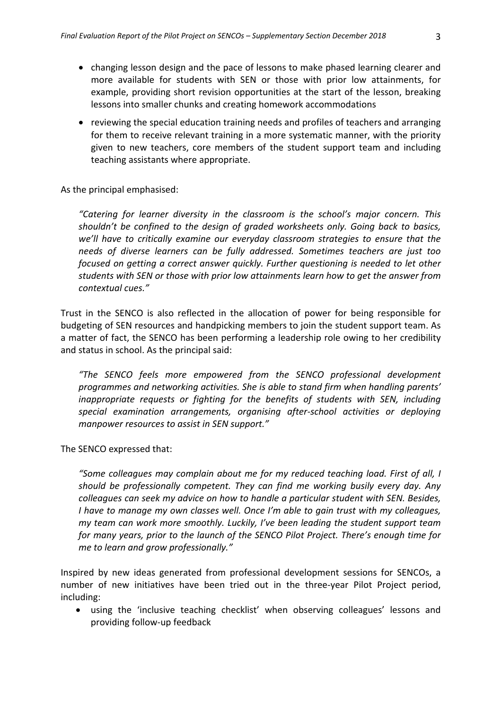- changing lesson design and the pace of lessons to make phased learning clearer and more available for students with SEN or those with prior low attainments, for example, providing short revision opportunities at the start of the lesson, breaking lessons into smaller chunks and creating homework accommodations
- reviewing the special education training needs and profiles of teachers and arranging for them to receive relevant training in a more systematic manner, with the priority given to new teachers, core members of the student support team and including teaching assistants where appropriate.

#### As the principal emphasised:

*"Catering for learner diversity in the classroom is the school's major concern. This shouldn't be confined to the design of graded worksheets only. Going back to basics, we'll have to critically examine our everyday classroom strategies to ensure that the needs of diverse learners can be fully addressed. Sometimes teachers are just too focused on getting a correct answer quickly. Further questioning is needed to let other students with SEN or those with prior low attainments learn how to get the answer from contextual cues."* 

Trust in the SENCO is also reflected in the allocation of power for being responsible for budgeting of SEN resources and handpicking members to join the student support team. As a matter of fact, the SENCO has been performing a leadership role owing to her credibility and status in school. As the principal said:

*"The SENCO feels more empowered from the SENCO professional development programmes and networking activities. She is able to stand firm when handling parents' inappropriate requests or fighting for the benefits of students with SEN, including special examination arrangements, organising after‐school activities or deploying manpower resources to assist in SEN support."*

The SENCO expressed that:

*"Some colleagues may complain about me for my reduced teaching load. First of all, I should be professionally competent. They can find me working busily every day. Any colleagues can seek my advice on how to handle a particular student with SEN. Besides, I have to manage my own classes well. Once I'm able to gain trust with my colleagues, my team can work more smoothly. Luckily, I've been leading the student support team for many years, prior to the launch of the SENCO Pilot Project. There's enough time for me to learn and grow professionally."*

Inspired by new ideas generated from professional development sessions for SENCOs, a number of new initiatives have been tried out in the three‐year Pilot Project period, including:

 using the 'inclusive teaching checklist' when observing colleagues' lessons and providing follow‐up feedback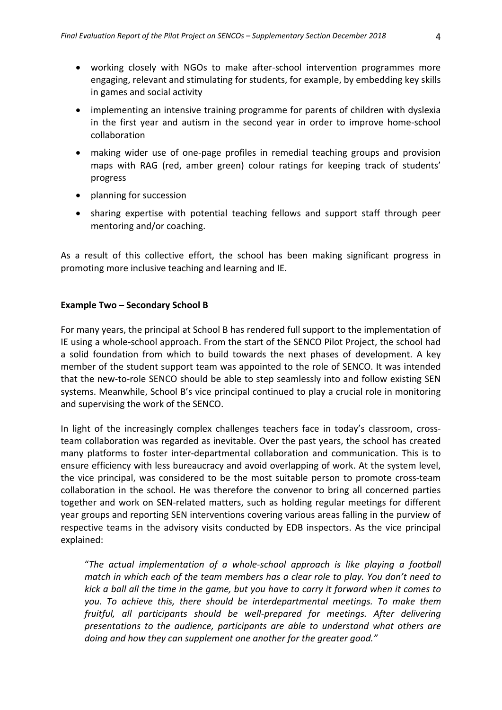- working closely with NGOs to make after‐school intervention programmes more engaging, relevant and stimulating for students, for example, by embedding key skills in games and social activity
- implementing an intensive training programme for parents of children with dyslexia in the first year and autism in the second year in order to improve home‐school collaboration
- making wider use of one-page profiles in remedial teaching groups and provision maps with RAG (red, amber green) colour ratings for keeping track of students' progress
- planning for succession
- sharing expertise with potential teaching fellows and support staff through peer mentoring and/or coaching.

As a result of this collective effort, the school has been making significant progress in promoting more inclusive teaching and learning and IE.

#### **Example Two – Secondary School B**

For many years, the principal at School B has rendered full support to the implementation of IE using a whole‐school approach. From the start of the SENCO Pilot Project, the school had a solid foundation from which to build towards the next phases of development. A key member of the student support team was appointed to the role of SENCO. It was intended that the new‐to‐role SENCO should be able to step seamlessly into and follow existing SEN systems. Meanwhile, School B's vice principal continued to play a crucial role in monitoring and supervising the work of the SENCO.

In light of the increasingly complex challenges teachers face in today's classroom, crossteam collaboration was regarded as inevitable. Over the past years, the school has created many platforms to foster inter-departmental collaboration and communication. This is to ensure efficiency with less bureaucracy and avoid overlapping of work. At the system level, the vice principal, was considered to be the most suitable person to promote cross‐team collaboration in the school. He was therefore the convenor to bring all concerned parties together and work on SEN‐related matters, such as holding regular meetings for different year groups and reporting SEN interventions covering various areas falling in the purview of respective teams in the advisory visits conducted by EDB inspectors. As the vice principal explained:

"*The actual implementation of a whole‐school approach is like playing a football match in which each of the team members has a clear role to play. You don't need to* kick a ball all the time in the game, but you have to carry it forward when it comes to *you. To achieve this, there should be interdepartmental meetings. To make them fruitful, all participants should be well‐prepared for meetings. After delivering presentations to the audience, participants are able to understand what others are doing and how they can supplement one another for the greater good."*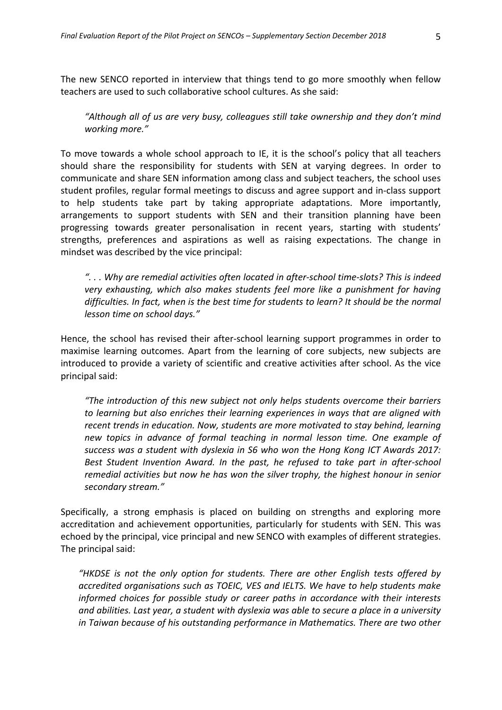The new SENCO reported in interview that things tend to go more smoothly when fellow teachers are used to such collaborative school cultures. As she said:

*"Although all of us are very busy, colleagues still take ownership and they don't mind working more."*

To move towards a whole school approach to IE, it is the school's policy that all teachers should share the responsibility for students with SEN at varying degrees. In order to communicate and share SEN information among class and subject teachers, the school uses student profiles, regular formal meetings to discuss and agree support and in‐class support to help students take part by taking appropriate adaptations. More importantly, arrangements to support students with SEN and their transition planning have been progressing towards greater personalisation in recent years, starting with students' strengths, preferences and aspirations as well as raising expectations. The change in mindset was described by the vice principal:

*". . . Why are remedial activities often located in after‐school time‐slots? This is indeed very exhausting, which also makes students feel more like a punishment for having difficulties. In fact, when is the best time for students to learn? It should be the normal lesson time on school days."*

Hence, the school has revised their after-school learning support programmes in order to maximise learning outcomes. Apart from the learning of core subjects, new subjects are introduced to provide a variety of scientific and creative activities after school. As the vice principal said:

*"The introduction of this new subject not only helps students overcome their barriers to learning but also enriches their learning experiences in ways that are aligned with recent trends in education. Now, students are more motivated to stay behind, learning new topics in advance of formal teaching in normal lesson time. One example of success was a student with dyslexia in S6 who won the Hong Kong ICT Awards 2017: Best Student Invention Award. In the past, he refused to take part in after‐school remedial activities but now he has won the silver trophy, the highest honour in senior secondary stream."*

Specifically, a strong emphasis is placed on building on strengths and exploring more accreditation and achievement opportunities, particularly for students with SEN. This was echoed by the principal, vice principal and new SENCO with examples of different strategies. The principal said:

*"HKDSE is not the only option for students. There are other English tests offered by accredited organisations such as TOEIC, VES and IELTS. We have to help students make informed choices for possible study or career paths in accordance with their interests and abilities. Last year, a student with dyslexia was able to secure a place in a university in Taiwan because of his outstanding performance in Mathematics. There are two other*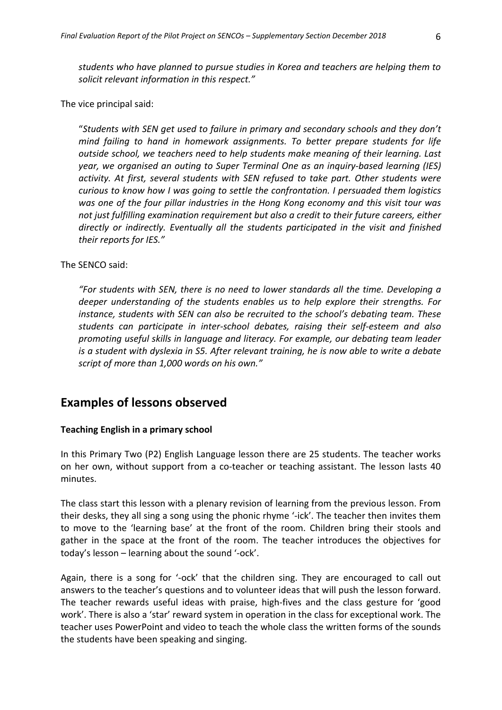*students who have planned to pursue studies in Korea and teachers are helping them to solicit relevant information in this respect."*

The vice principal said:

"*Students with SEN get used to failure in primary and secondary schools and they don't mind failing to hand in homework assignments. To better prepare students for life outside school, we teachers need to help students make meaning of their learning. Last year, we organised an outing to Super Terminal One as an inquiry‐based learning (IES) activity. At first, several students with SEN refused to take part. Other students were curious to know how I was going to settle the confrontation. I persuaded them logistics was one of the four pillar industries in the Hong Kong economy and this visit tour was not just fulfilling examination requirement but also a credit to their future careers, either directly or indirectly. Eventually all the students participated in the visit and finished their reports for IES."*

#### The SENCO said:

*"For students with SEN, there is no need to lower standards all the time. Developing a deeper understanding of the students enables us to help explore their strengths. For instance, students with SEN can also be recruited to the school's debating team. These students can participate in inter‐school debates, raising their self‐esteem and also promoting useful skills in language and literacy. For example, our debating team leader is a student with dyslexia in S5. After relevant training, he is now able to write a debate script of more than 1,000 words on his own."*

# **Examples of lessons observed**

# **Teaching English in a primary school**

In this Primary Two (P2) English Language lesson there are 25 students. The teacher works on her own, without support from a co-teacher or teaching assistant. The lesson lasts 40 minutes.

The class start this lesson with a plenary revision of learning from the previous lesson. From their desks, they all sing a song using the phonic rhyme '‐ick'. The teacher then invites them to move to the 'learning base' at the front of the room. Children bring their stools and gather in the space at the front of the room. The teacher introduces the objectives for today's lesson – learning about the sound '‐ock'.

Again, there is a song for '‐ock' that the children sing. They are encouraged to call out answers to the teacher's questions and to volunteer ideas that will push the lesson forward. The teacher rewards useful ideas with praise, high-fives and the class gesture for 'good work'. There is also a 'star' reward system in operation in the class for exceptional work. The teacher uses PowerPoint and video to teach the whole class the written forms of the sounds the students have been speaking and singing.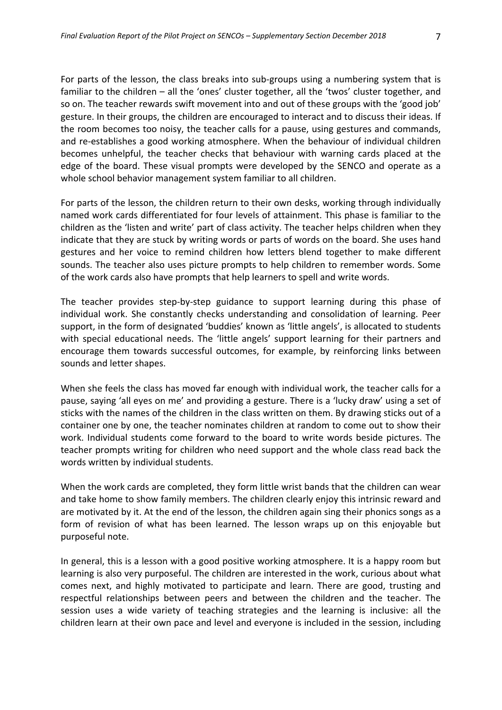For parts of the lesson, the class breaks into sub‐groups using a numbering system that is familiar to the children – all the 'ones' cluster together, all the 'twos' cluster together, and so on. The teacher rewards swift movement into and out of these groups with the 'good job' gesture. In their groups, the children are encouraged to interact and to discuss their ideas. If the room becomes too noisy, the teacher calls for a pause, using gestures and commands, and re‐establishes a good working atmosphere. When the behaviour of individual children becomes unhelpful, the teacher checks that behaviour with warning cards placed at the edge of the board. These visual prompts were developed by the SENCO and operate as a whole school behavior management system familiar to all children.

For parts of the lesson, the children return to their own desks, working through individually named work cards differentiated for four levels of attainment. This phase is familiar to the children as the 'listen and write' part of class activity. The teacher helps children when they indicate that they are stuck by writing words or parts of words on the board. She uses hand gestures and her voice to remind children how letters blend together to make different sounds. The teacher also uses picture prompts to help children to remember words. Some of the work cards also have prompts that help learners to spell and write words.

The teacher provides step-by-step guidance to support learning during this phase of individual work. She constantly checks understanding and consolidation of learning. Peer support, in the form of designated 'buddies' known as 'little angels', is allocated to students with special educational needs. The 'little angels' support learning for their partners and encourage them towards successful outcomes, for example, by reinforcing links between sounds and letter shapes.

When she feels the class has moved far enough with individual work, the teacher calls for a pause, saying 'all eyes on me' and providing a gesture. There is a 'lucky draw' using a set of sticks with the names of the children in the class written on them. By drawing sticks out of a container one by one, the teacher nominates children at random to come out to show their work. Individual students come forward to the board to write words beside pictures. The teacher prompts writing for children who need support and the whole class read back the words written by individual students.

When the work cards are completed, they form little wrist bands that the children can wear and take home to show family members. The children clearly enjoy this intrinsic reward and are motivated by it. At the end of the lesson, the children again sing their phonics songs as a form of revision of what has been learned. The lesson wraps up on this enjoyable but purposeful note.

In general, this is a lesson with a good positive working atmosphere. It is a happy room but learning is also very purposeful. The children are interested in the work, curious about what comes next, and highly motivated to participate and learn. There are good, trusting and respectful relationships between peers and between the children and the teacher. The session uses a wide variety of teaching strategies and the learning is inclusive: all the children learn at their own pace and level and everyone is included in the session, including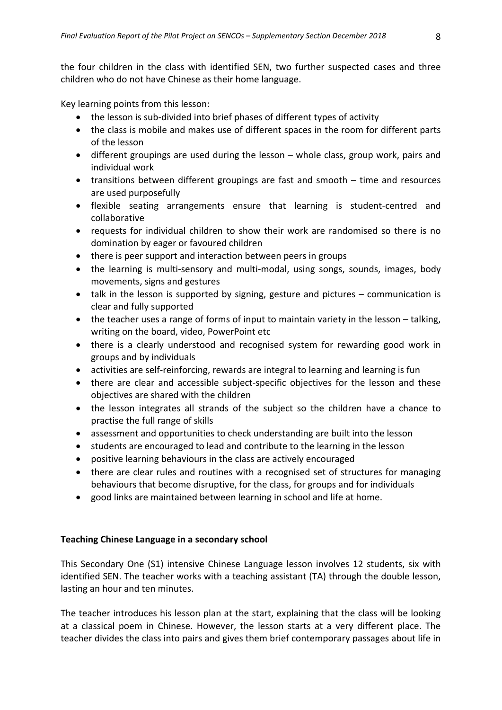the four children in the class with identified SEN, two further suspected cases and three children who do not have Chinese as their home language.

Key learning points from this lesson:

- the lesson is sub-divided into brief phases of different types of activity
- the class is mobile and makes use of different spaces in the room for different parts of the lesson
- different groupings are used during the lesson whole class, group work, pairs and individual work
- transitions between different groupings are fast and smooth time and resources are used purposefully
- flexible seating arrangements ensure that learning is student‐centred and collaborative
- requests for individual children to show their work are randomised so there is no domination by eager or favoured children
- there is peer support and interaction between peers in groups
- the learning is multi-sensory and multi-modal, using songs, sounds, images, body movements, signs and gestures
- talk in the lesson is supported by signing, gesture and pictures communication is clear and fully supported
- the teacher uses a range of forms of input to maintain variety in the lesson talking, writing on the board, video, PowerPoint etc
- there is a clearly understood and recognised system for rewarding good work in groups and by individuals
- activities are self-reinforcing, rewards are integral to learning and learning is fun
- there are clear and accessible subject-specific objectives for the lesson and these objectives are shared with the children
- the lesson integrates all strands of the subject so the children have a chance to practise the full range of skills
- assessment and opportunities to check understanding are built into the lesson
- students are encouraged to lead and contribute to the learning in the lesson
- positive learning behaviours in the class are actively encouraged
- there are clear rules and routines with a recognised set of structures for managing behaviours that become disruptive, for the class, for groups and for individuals
- good links are maintained between learning in school and life at home.

## **Teaching Chinese Language in a secondary school**

This Secondary One (S1) intensive Chinese Language lesson involves 12 students, six with identified SEN. The teacher works with a teaching assistant (TA) through the double lesson, lasting an hour and ten minutes.

The teacher introduces his lesson plan at the start, explaining that the class will be looking at a classical poem in Chinese. However, the lesson starts at a very different place. The teacher divides the class into pairs and gives them brief contemporary passages about life in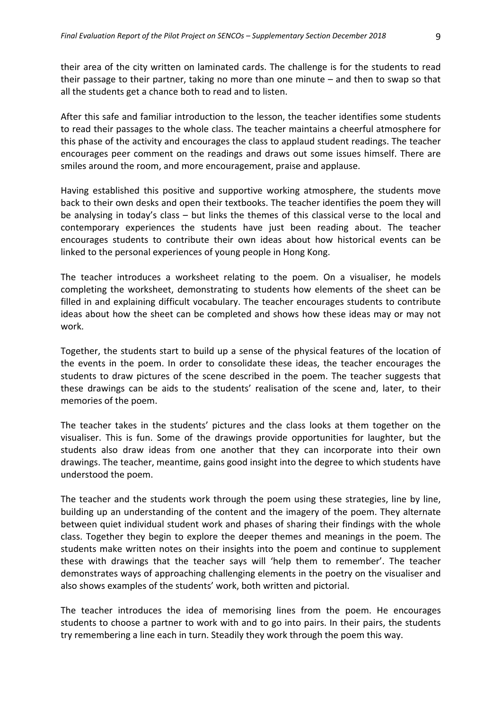their area of the city written on laminated cards. The challenge is for the students to read their passage to their partner, taking no more than one minute – and then to swap so that all the students get a chance both to read and to listen.

After this safe and familiar introduction to the lesson, the teacher identifies some students to read their passages to the whole class. The teacher maintains a cheerful atmosphere for this phase of the activity and encourages the class to applaud student readings. The teacher encourages peer comment on the readings and draws out some issues himself. There are smiles around the room, and more encouragement, praise and applause.

Having established this positive and supportive working atmosphere, the students move back to their own desks and open their textbooks. The teacher identifies the poem they will be analysing in today's class – but links the themes of this classical verse to the local and contemporary experiences the students have just been reading about. The teacher encourages students to contribute their own ideas about how historical events can be linked to the personal experiences of young people in Hong Kong.

The teacher introduces a worksheet relating to the poem. On a visualiser, he models completing the worksheet, demonstrating to students how elements of the sheet can be filled in and explaining difficult vocabulary. The teacher encourages students to contribute ideas about how the sheet can be completed and shows how these ideas may or may not work.

Together, the students start to build up a sense of the physical features of the location of the events in the poem. In order to consolidate these ideas, the teacher encourages the students to draw pictures of the scene described in the poem. The teacher suggests that these drawings can be aids to the students' realisation of the scene and, later, to their memories of the poem.

The teacher takes in the students' pictures and the class looks at them together on the visualiser. This is fun. Some of the drawings provide opportunities for laughter, but the students also draw ideas from one another that they can incorporate into their own drawings. The teacher, meantime, gains good insight into the degree to which students have understood the poem.

The teacher and the students work through the poem using these strategies, line by line, building up an understanding of the content and the imagery of the poem. They alternate between quiet individual student work and phases of sharing their findings with the whole class. Together they begin to explore the deeper themes and meanings in the poem. The students make written notes on their insights into the poem and continue to supplement these with drawings that the teacher says will 'help them to remember'. The teacher demonstrates ways of approaching challenging elements in the poetry on the visualiser and also shows examples of the students' work, both written and pictorial.

The teacher introduces the idea of memorising lines from the poem. He encourages students to choose a partner to work with and to go into pairs. In their pairs, the students try remembering a line each in turn. Steadily they work through the poem this way.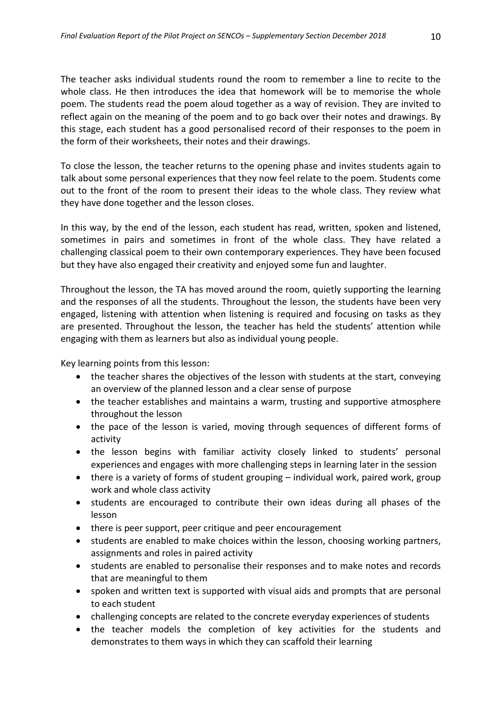The teacher asks individual students round the room to remember a line to recite to the whole class. He then introduces the idea that homework will be to memorise the whole poem. The students read the poem aloud together as a way of revision. They are invited to reflect again on the meaning of the poem and to go back over their notes and drawings. By this stage, each student has a good personalised record of their responses to the poem in the form of their worksheets, their notes and their drawings.

To close the lesson, the teacher returns to the opening phase and invites students again to talk about some personal experiences that they now feel relate to the poem. Students come out to the front of the room to present their ideas to the whole class. They review what they have done together and the lesson closes.

In this way, by the end of the lesson, each student has read, written, spoken and listened, sometimes in pairs and sometimes in front of the whole class. They have related a challenging classical poem to their own contemporary experiences. They have been focused but they have also engaged their creativity and enjoyed some fun and laughter.

Throughout the lesson, the TA has moved around the room, quietly supporting the learning and the responses of all the students. Throughout the lesson, the students have been very engaged, listening with attention when listening is required and focusing on tasks as they are presented. Throughout the lesson, the teacher has held the students' attention while engaging with them as learners but also as individual young people.

Key learning points from this lesson:

- the teacher shares the objectives of the lesson with students at the start, conveying an overview of the planned lesson and a clear sense of purpose
- the teacher establishes and maintains a warm, trusting and supportive atmosphere throughout the lesson
- the pace of the lesson is varied, moving through sequences of different forms of activity
- the lesson begins with familiar activity closely linked to students' personal experiences and engages with more challenging steps in learning later in the session
- there is a variety of forms of student grouping individual work, paired work, group work and whole class activity
- students are encouraged to contribute their own ideas during all phases of the lesson
- there is peer support, peer critique and peer encouragement
- students are enabled to make choices within the lesson, choosing working partners, assignments and roles in paired activity
- students are enabled to personalise their responses and to make notes and records that are meaningful to them
- spoken and written text is supported with visual aids and prompts that are personal to each student
- challenging concepts are related to the concrete everyday experiences of students
- the teacher models the completion of key activities for the students and demonstrates to them ways in which they can scaffold their learning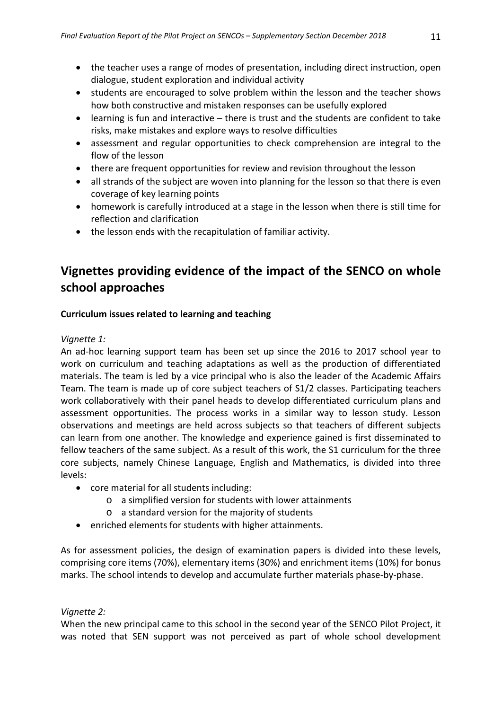- the teacher uses a range of modes of presentation, including direct instruction, open dialogue, student exploration and individual activity
- students are encouraged to solve problem within the lesson and the teacher shows how both constructive and mistaken responses can be usefully explored
- learning is fun and interactive there is trust and the students are confident to take risks, make mistakes and explore ways to resolve difficulties
- assessment and regular opportunities to check comprehension are integral to the flow of the lesson
- there are frequent opportunities for review and revision throughout the lesson
- all strands of the subject are woven into planning for the lesson so that there is even coverage of key learning points
- homework is carefully introduced at a stage in the lesson when there is still time for reflection and clarification
- the lesson ends with the recapitulation of familiar activity.

# **Vignettes providing evidence of the impact of the SENCO on whole school approaches**

# **Curriculum issues related to learning and teaching**

# *Vignette 1:*

An ad‐hoc learning support team has been set up since the 2016 to 2017 school year to work on curriculum and teaching adaptations as well as the production of differentiated materials. The team is led by a vice principal who is also the leader of the Academic Affairs Team. The team is made up of core subject teachers of S1/2 classes. Participating teachers work collaboratively with their panel heads to develop differentiated curriculum plans and assessment opportunities. The process works in a similar way to lesson study. Lesson observations and meetings are held across subjects so that teachers of different subjects can learn from one another. The knowledge and experience gained is first disseminated to fellow teachers of the same subject. As a result of this work, the S1 curriculum for the three core subjects, namely Chinese Language, English and Mathematics, is divided into three levels:

- core material for all students including:
	- o a simplified version for students with lower attainments
	- o a standard version for the majority of students
- enriched elements for students with higher attainments.

As for assessment policies, the design of examination papers is divided into these levels, comprising core items (70%), elementary items (30%) and enrichment items (10%) for bonus marks. The school intends to develop and accumulate further materials phase‐by‐phase.

# *Vignette 2:*

When the new principal came to this school in the second year of the SENCO Pilot Project, it was noted that SEN support was not perceived as part of whole school development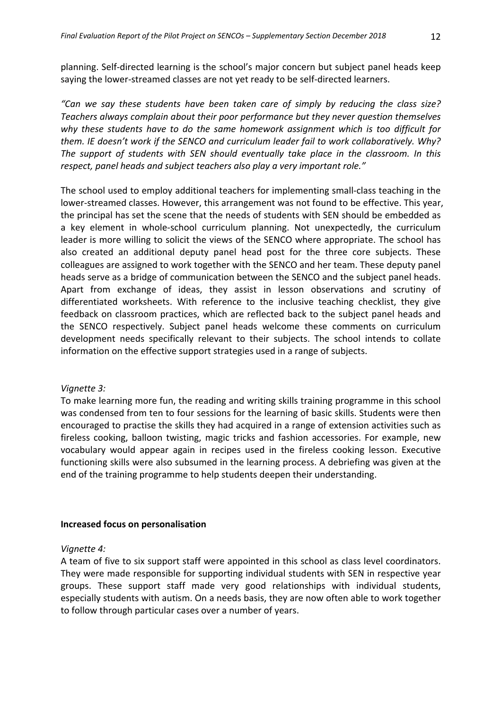planning. Self‐directed learning is the school's major concern but subject panel heads keep saying the lower-streamed classes are not yet ready to be self-directed learners.

*"Can we say these students have been taken care of simply by reducing the class size? Teachers always complain about their poor performance but they never question themselves why these students have to do the same homework assignment which is too difficult for them. IE doesn't work if the SENCO and curriculum leader fail to work collaboratively. Why? The support of students with SEN should eventually take place in the classroom. In this respect, panel heads and subject teachers also play a very important role."*

The school used to employ additional teachers for implementing small‐class teaching in the lower‐streamed classes. However, this arrangement was not found to be effective. This year, the principal has set the scene that the needs of students with SEN should be embedded as a key element in whole‐school curriculum planning. Not unexpectedly, the curriculum leader is more willing to solicit the views of the SENCO where appropriate. The school has also created an additional deputy panel head post for the three core subjects. These colleagues are assigned to work together with the SENCO and her team. These deputy panel heads serve as a bridge of communication between the SENCO and the subject panel heads. Apart from exchange of ideas, they assist in lesson observations and scrutiny of differentiated worksheets. With reference to the inclusive teaching checklist, they give feedback on classroom practices, which are reflected back to the subject panel heads and the SENCO respectively. Subject panel heads welcome these comments on curriculum development needs specifically relevant to their subjects. The school intends to collate information on the effective support strategies used in a range of subjects.

## *Vignette 3:*

To make learning more fun, the reading and writing skills training programme in this school was condensed from ten to four sessions for the learning of basic skills. Students were then encouraged to practise the skills they had acquired in a range of extension activities such as fireless cooking, balloon twisting, magic tricks and fashion accessories. For example, new vocabulary would appear again in recipes used in the fireless cooking lesson. Executive functioning skills were also subsumed in the learning process. A debriefing was given at the end of the training programme to help students deepen their understanding.

#### **Increased focus on personalisation**

#### *Vignette 4:*

A team of five to six support staff were appointed in this school as class level coordinators. They were made responsible for supporting individual students with SEN in respective year groups. These support staff made very good relationships with individual students, especially students with autism. On a needs basis, they are now often able to work together to follow through particular cases over a number of years.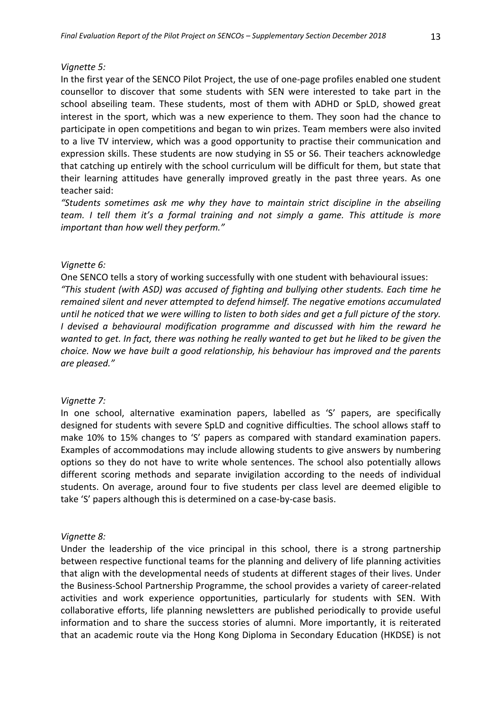#### *Vignette 5:*

In the first year of the SENCO Pilot Project, the use of one‐page profiles enabled one student counsellor to discover that some students with SEN were interested to take part in the school abseiling team. These students, most of them with ADHD or SpLD, showed great interest in the sport, which was a new experience to them. They soon had the chance to participate in open competitions and began to win prizes. Team members were also invited to a live TV interview, which was a good opportunity to practise their communication and expression skills. These students are now studying in S5 or S6. Their teachers acknowledge that catching up entirely with the school curriculum will be difficult for them, but state that their learning attitudes have generally improved greatly in the past three years. As one teacher said:

*"Students sometimes ask me why they have to maintain strict discipline in the abseiling team. I tell them it's a formal training and not simply a game. This attitude is more important than how well they perform."* 

#### *Vignette 6:*

One SENCO tells a story of working successfully with one student with behavioural issues: *"This student (with ASD) was accused of fighting and bullying other students. Each time he remained silent and never attempted to defend himself. The negative emotions accumulated* until he noticed that we were willing to listen to both sides and get a full picture of the story. *I devised a behavioural modification programme and discussed with him the reward he* wanted to get. In fact, there was nothing he really wanted to get but he liked to be given the *choice. Now we have built a good relationship, his behaviour has improved and the parents are pleased."* 

## *Vignette 7:*

In one school, alternative examination papers, labelled as 'S' papers, are specifically designed for students with severe SpLD and cognitive difficulties. The school allows staff to make 10% to 15% changes to 'S' papers as compared with standard examination papers. Examples of accommodations may include allowing students to give answers by numbering options so they do not have to write whole sentences. The school also potentially allows different scoring methods and separate invigilation according to the needs of individual students. On average, around four to five students per class level are deemed eligible to take 'S' papers although this is determined on a case‐by‐case basis.

#### *Vignette 8:*

Under the leadership of the vice principal in this school, there is a strong partnership between respective functional teams for the planning and delivery of life planning activities that align with the developmental needs of students at different stages of their lives. Under the Business‐School Partnership Programme, the school provides a variety of career‐related activities and work experience opportunities, particularly for students with SEN. With collaborative efforts, life planning newsletters are published periodically to provide useful information and to share the success stories of alumni. More importantly, it is reiterated that an academic route via the Hong Kong Diploma in Secondary Education (HKDSE) is not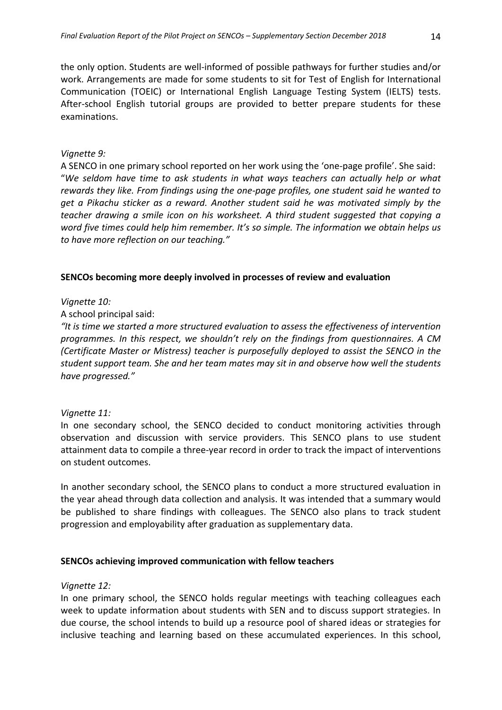the only option. Students are well‐informed of possible pathways for further studies and/or work. Arrangements are made for some students to sit for Test of English for International Communication (TOEIC) or International English Language Testing System (IELTS) tests. After-school English tutorial groups are provided to better prepare students for these examinations.

#### *Vignette 9:*

A SENCO in one primary school reported on her work using the 'one‐page profile'. She said: "*We seldom have time to ask students in what ways teachers can actually help or what rewards they like. From findings using the one‐page profiles, one student said he wanted to get a Pikachu sticker as a reward. Another student said he was motivated simply by the teacher drawing a smile icon on his worksheet. A third student suggested that copying a word five times could help him remember. It's so simple. The information we obtain helps us to have more reflection on our teaching."*

#### **SENCOs becoming more deeply involved in processes of review and evaluation**

*Vignette 10:*

A school principal said:

*"It is time we started a more structured evaluation to assess the effectiveness of intervention programmes. In this respect, we shouldn't rely on the findings from questionnaires. A CM (Certificate Master or Mistress) teacher is purposefully deployed to assist the SENCO in the student support team. She and her team mates may sit in and observe how well the students have progressed."*

#### *Vignette 11:*

In one secondary school, the SENCO decided to conduct monitoring activities through observation and discussion with service providers. This SENCO plans to use student attainment data to compile a three‐year record in order to track the impact of interventions on student outcomes.

In another secondary school, the SENCO plans to conduct a more structured evaluation in the year ahead through data collection and analysis. It was intended that a summary would be published to share findings with colleagues. The SENCO also plans to track student progression and employability after graduation as supplementary data.

## **SENCOs achieving improved communication with fellow teachers**

#### *Vignette 12:*

In one primary school, the SENCO holds regular meetings with teaching colleagues each week to update information about students with SEN and to discuss support strategies. In due course, the school intends to build up a resource pool of shared ideas or strategies for inclusive teaching and learning based on these accumulated experiences. In this school,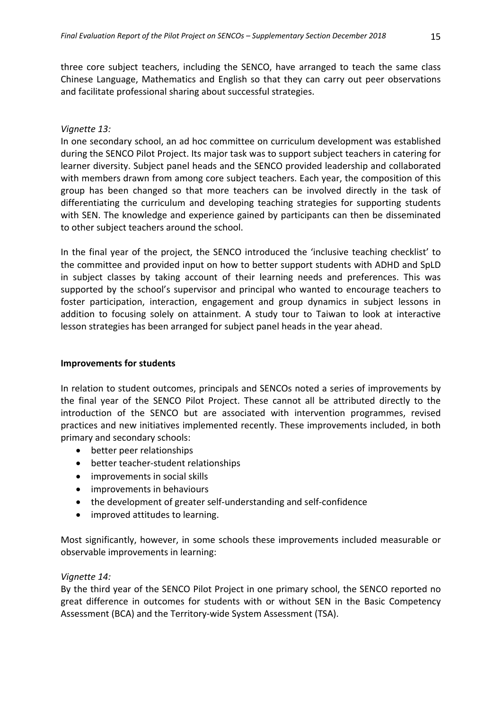three core subject teachers, including the SENCO, have arranged to teach the same class Chinese Language, Mathematics and English so that they can carry out peer observations and facilitate professional sharing about successful strategies.

#### *Vignette 13:*

In one secondary school, an ad hoc committee on curriculum development was established during the SENCO Pilot Project. Its major task was to support subject teachers in catering for learner diversity. Subject panel heads and the SENCO provided leadership and collaborated with members drawn from among core subject teachers. Each year, the composition of this group has been changed so that more teachers can be involved directly in the task of differentiating the curriculum and developing teaching strategies for supporting students with SEN. The knowledge and experience gained by participants can then be disseminated to other subject teachers around the school.

In the final year of the project, the SENCO introduced the 'inclusive teaching checklist' to the committee and provided input on how to better support students with ADHD and SpLD in subject classes by taking account of their learning needs and preferences. This was supported by the school's supervisor and principal who wanted to encourage teachers to foster participation, interaction, engagement and group dynamics in subject lessons in addition to focusing solely on attainment. A study tour to Taiwan to look at interactive lesson strategies has been arranged for subject panel heads in the year ahead.

#### **Improvements for students**

In relation to student outcomes, principals and SENCOs noted a series of improvements by the final year of the SENCO Pilot Project. These cannot all be attributed directly to the introduction of the SENCO but are associated with intervention programmes, revised practices and new initiatives implemented recently. These improvements included, in both primary and secondary schools:

- better peer relationships
- better teacher-student relationships
- improvements in social skills
- improvements in behaviours
- the development of greater self-understanding and self-confidence
- improved attitudes to learning.

Most significantly, however, in some schools these improvements included measurable or observable improvements in learning:

## *Vignette 14:*

By the third year of the SENCO Pilot Project in one primary school, the SENCO reported no great difference in outcomes for students with or without SEN in the Basic Competency Assessment (BCA) and the Territory‐wide System Assessment (TSA).